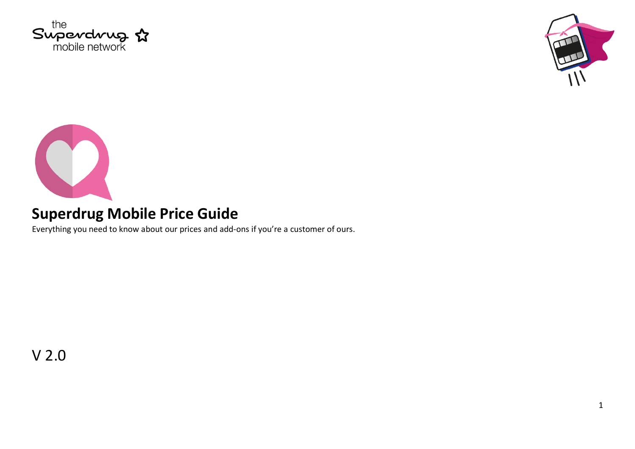





## **Superdrug Mobile Price Guide**

Everything you need to know about our prices and add-ons if you're a customer of ours.

V 2.0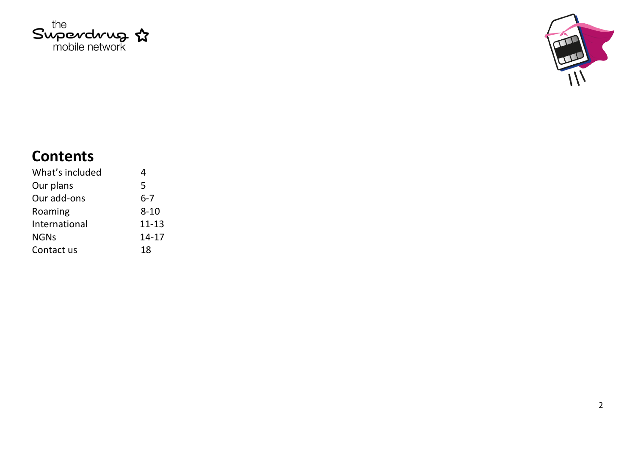



# **Contents**

| What's included | 4         |
|-----------------|-----------|
| Our plans       | 5         |
| Our add-ons     | $6 - 7$   |
| Roaming         | $8 - 10$  |
| International   | $11 - 13$ |
| <b>NGNs</b>     | $14 - 17$ |
| Contact us      | 18        |
|                 |           |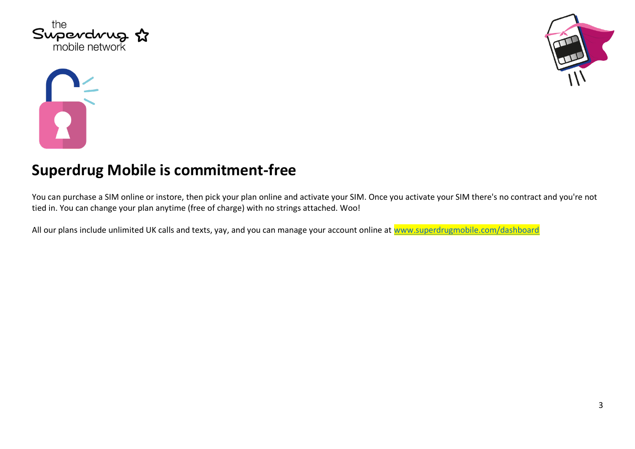





#### **Superdrug Mobile is commitment-free**

You can purchase a SIM online or instore, then pick your plan online and activate your SIM. Once you activate your SIM there's no contract and you're not tied in. You can change your plan anytime (free of charge) with no strings attached. Woo!

All our plans include unlimited UK calls and texts, yay, and you can manage your account online at [www.superdrugmobile.com/dashboard](http://www.superdrugmobile.com/dashboard)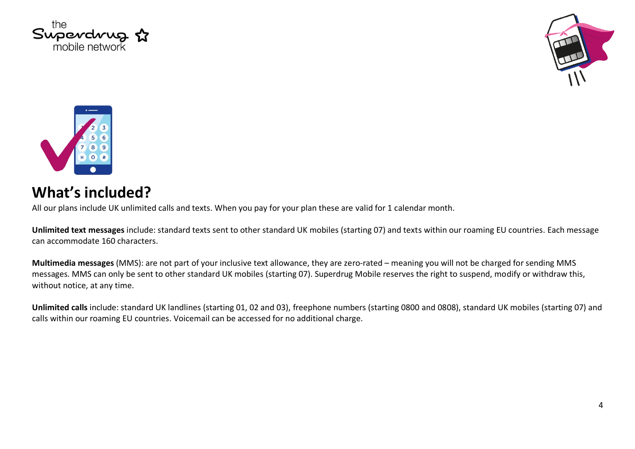





#### **What's included?**

All our plans include UK unlimited calls and texts. When you pay for your plan these are valid for 1 calendar month.

**Unlimited text messages** include: standard texts sent to other standard UK mobiles (starting 07) and texts within our roaming EU countries. Each message can accommodate 160 characters.

**Multimedia messages** (MMS): are not part of your inclusive text allowance, they are zero-rated – meaning you will not be charged for sending MMS messages. MMS can only be sent to other standard UK mobiles (starting 07). Superdrug Mobile reserves the right to suspend, modify or withdraw this, without notice, at any time.

**Unlimited calls** include: standard UK landlines (starting 01, 02 and 03), freephone numbers (starting 0800 and 0808), standard UK mobiles (starting 07) and calls within our roaming EU countries. Voicemail can be accessed for no additional charge.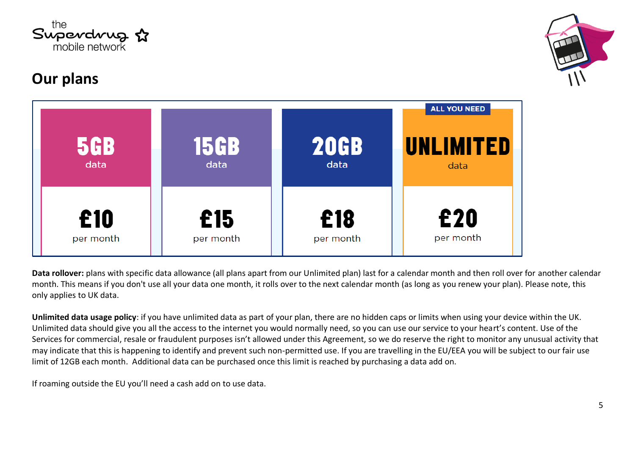

# **Our plans**



| <b>5GB</b><br>data | <b>15GB</b><br>data | <b>20GB</b><br>data | <b>ALL YOU NEED</b><br><b>UNLIMITED</b><br>data |
|--------------------|---------------------|---------------------|-------------------------------------------------|
| £10                | £15                 | £18                 | £20                                             |
| per month          | per month           | per month           | per month                                       |

**Data rollover:** plans with specific data allowance (all plans apart from our Unlimited plan) last for a calendar month and then roll over for another calendar month. This means if you don't use all your data one month, it rolls over to the next calendar month (as long as you renew your plan). Please note, this only applies to UK data.

**Unlimited data usage policy**: if you have unlimited data as part of your plan, there are no hidden caps or limits when using your device within the UK. Unlimited data should give you all the access to the internet you would normally need, so you can use our service to your heart's content. Use of the Services for commercial, resale or fraudulent purposes isn't allowed under this Agreement, so we do reserve the right to monitor any unusual activity that may indicate that this is happening to identify and prevent such non-permitted use. If you are travelling in the EU/EEA you will be subject to our fair use limit of 12GB each month. Additional data can be purchased once this limit is reached by purchasing a data add on.

If roaming outside the EU you'll need a cash add on to use data.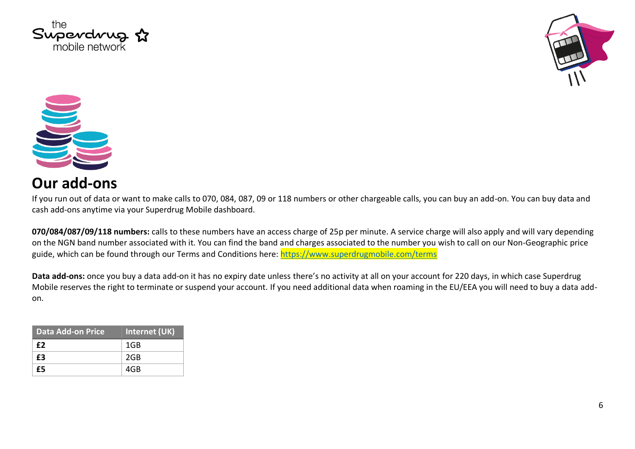





#### **Our add-ons**

If you run out of data or want to make calls to 070, 084, 087, 09 or 118 numbers or other chargeable calls, you can buy an add-on. You can buy data and cash add-ons anytime via your Superdrug Mobile dashboard.

**070/084/087/09/118 numbers:** calls to these numbers have an access charge of 25p per minute. A service charge will also apply and will vary depending on the NGN band number associated with it. You can find the band and charges associated to the number you wish to call on our Non-Geographic price guide, which can be found through our Terms and Conditions here:<https://www.superdrugmobile.com/terms>

**Data add-ons:** once you buy a data add-on it has no expiry date unless there's no activity at all on your account for 220 days, in which case Superdrug Mobile reserves the right to terminate or suspend your account. If you need additional data when roaming in the EU/EEA you will need to buy a data addon.

| Data Add-on Price | Internet (UK) |
|-------------------|---------------|
| f <sub>2</sub>    | 1GB           |
| £3                | 2GB           |
| £5                | 4GB           |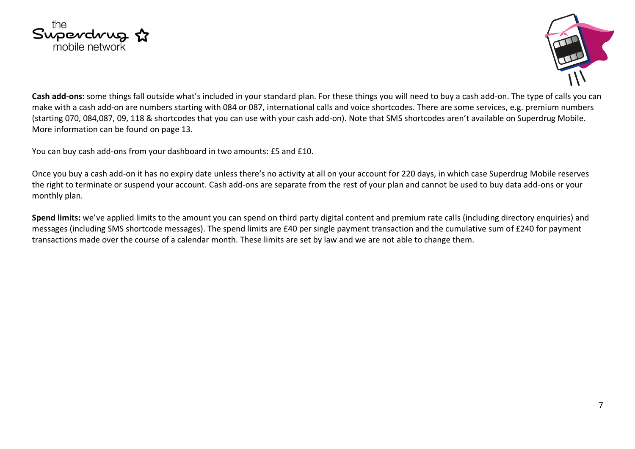



**Cash add-ons:** some things fall outside what's included in your standard plan. For these things you will need to buy a cash add-on. The type of calls you can make with a cash add-on are numbers starting with 084 or 087, international calls and voice shortcodes. There are some services, e.g. premium numbers (starting 070, 084,087, 09, 118 & shortcodes that you can use with your cash add-on). Note that SMS shortcodes aren't available on Superdrug Mobile. More information can be found on page 13.

You can buy cash add-ons from your dashboard in two amounts: £5 and £10.

Once you buy a cash add-on it has no expiry date unless there's no activity at all on your account for 220 days, in which case Superdrug Mobile reserves the right to terminate or suspend your account. Cash add-ons are separate from the rest of your plan and cannot be used to buy data add-ons or your monthly plan.

**Spend limits:** we've applied limits to the amount you can spend on third party digital content and premium rate calls (including directory enquiries) and messages (including SMS shortcode messages). The spend limits are £40 per single payment transaction and the cumulative sum of £240 for payment transactions made over the course of a calendar month. These limits are set by law and we are not able to change them.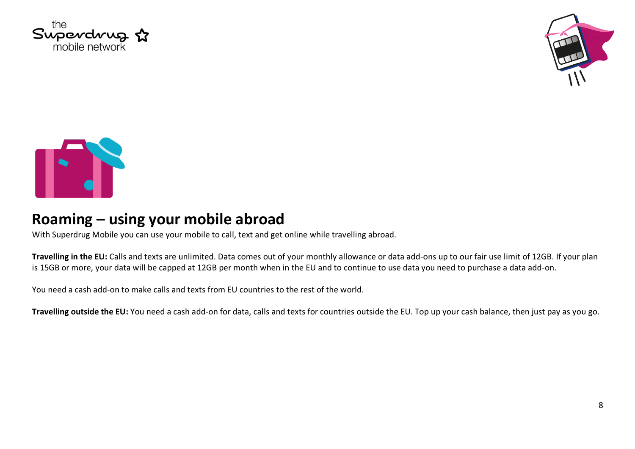





#### **Roaming – using your mobile abroad**

With Superdrug Mobile you can use your mobile to call, text and get online while travelling abroad.

**Travelling in the EU:** Calls and texts are unlimited. Data comes out of your monthly allowance or data add-ons up to our fair use limit of 12GB. If your plan is 15GB or more, your data will be capped at 12GB per month when in the EU and to continue to use data you need to purchase a data add-on.

You need a cash add-on to make calls and texts from EU countries to the rest of the world.

**Travelling outside the EU:** You need a cash add-on for data, calls and texts for countries outside the EU. Top up your cash balance, then just pay as you go.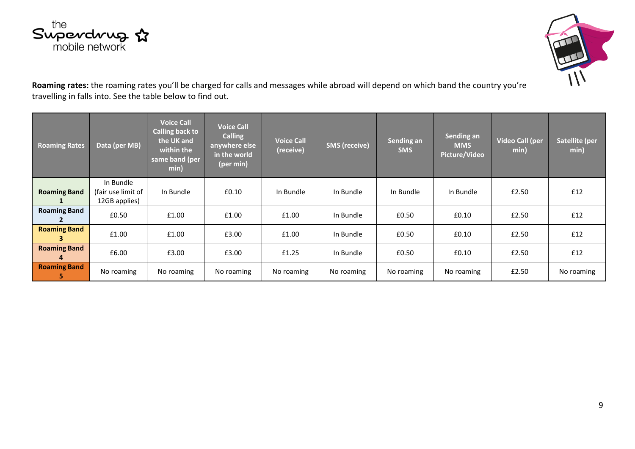



**Roaming rates:** the roaming rates you'll be charged for calls and messages while abroad will depend on which band the country you're travelling in falls into. See the table below to find out.

| <b>Roaming Rates</b>      | Data (per MB)                                    | <b>Voice Call</b><br><b>Calling back to</b><br>the UK and<br>within the<br>same band (per<br>min) | <b>Voice Call</b><br><b>Calling</b><br>anywhere else<br>in the world<br>(per min) | <b>Voice Call</b><br>(receive) | <b>SMS</b> (receive) | Sending an<br><b>SMS</b> | Sending an<br><b>MMS</b><br>Picture/Video | <b>Video Call (per</b><br>min) | Satellite (per<br>min) |
|---------------------------|--------------------------------------------------|---------------------------------------------------------------------------------------------------|-----------------------------------------------------------------------------------|--------------------------------|----------------------|--------------------------|-------------------------------------------|--------------------------------|------------------------|
| <b>Roaming Band</b>       | In Bundle<br>(fair use limit of<br>12GB applies) | In Bundle                                                                                         | £0.10                                                                             | In Bundle                      | In Bundle            | In Bundle                | In Bundle                                 | £2.50                          | £12                    |
| <b>Roaming Band</b>       | £0.50                                            | £1.00                                                                                             | £1.00                                                                             | £1.00                          | In Bundle            | £0.50                    | £0.10                                     | £2.50                          | £12                    |
| <b>Roaming Band</b><br>з. | £1.00                                            | £1.00                                                                                             | £3.00                                                                             | £1.00                          | In Bundle            | £0.50                    | £0.10                                     | £2.50                          | £12                    |
| <b>Roaming Band</b><br>4  | £6.00                                            | £3.00                                                                                             | £3.00                                                                             | £1.25                          | In Bundle            | £0.50                    | £0.10                                     | £2.50                          | £12                    |
| <b>Roaming Band</b>       | No roaming                                       | No roaming                                                                                        | No roaming                                                                        | No roaming                     | No roaming           | No roaming               | No roaming                                | £2.50                          | No roaming             |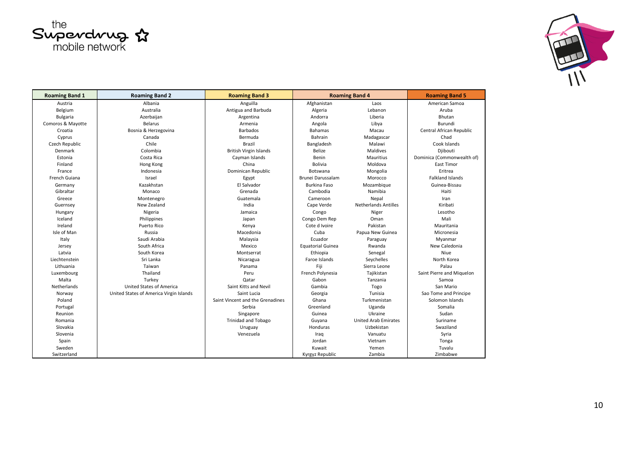



| <b>Roaming Band 1</b> | <b>Roaming Band 2</b>                   | <b>Roaming Band 3</b>            |                          | <b>Roaming Band 4</b>       | <b>Roaming Band 5</b>      |
|-----------------------|-----------------------------------------|----------------------------------|--------------------------|-----------------------------|----------------------------|
| Austria               | Albania                                 | Anguilla                         | Afghanistan              | Laos                        | American Samoa             |
| Belgium               | Australia                               | Antigua and Barbuda              | Algeria                  | Lebanon                     | Aruba                      |
| <b>Bulgaria</b>       | Azerbaijan                              | Argentina                        | Andorra                  | Liberia                     | Bhutan                     |
| Comoros & Mayotte     | <b>Belarus</b>                          | Armenia                          | Angola                   | Libya                       | Burundi                    |
| Croatia               | Bosnia & Herzegovina                    | Barbados                         | <b>Bahamas</b>           | Macau                       | Central African Republic   |
| Cyprus                | Canada                                  | Bermuda                          | Bahrain                  | Madagascar                  | Chad                       |
| Czech Republic        | Chile                                   | <b>Brazil</b>                    | Bangladesh               | Malawi                      | Cook Islands               |
| Denmark               | Colombia                                | <b>British Virgin Islands</b>    | Belize                   | Maldives                    | Djibouti                   |
| Estonia               | Costa Rica                              | Cayman Islands                   | Benin                    | Mauritius                   | Dominica (Commonwealth of) |
| Finland               | Hong Kong                               | China                            | <b>Bolivia</b>           | Moldova                     | East Timor                 |
| France                | Indonesia                               | Dominican Republic               | Botswana                 | Mongolia                    | Eritrea                    |
| French Guiana         | Israel                                  | Egypt                            | Brunei Darussalam        | Morocco                     | <b>Falkland Islands</b>    |
| Germany               | Kazakhstan                              | El Salvador                      | <b>Burkina Faso</b>      | Mozambique                  | Guinea-Bissau              |
| Gibraltar             | Monaco                                  | Grenada                          | Cambodia                 | Namibia                     | Haiti                      |
| Greece                | Montenegro                              | Guatemala                        | Cameroon                 | Nepal                       | Iran                       |
| Guernsey              | New Zealand                             | India                            | Cape Verde               | <b>Netherlands Antilles</b> | Kiribati                   |
| Hungary               | Nigeria                                 | Jamaica                          | Congo                    | Niger                       | Lesotho                    |
| Iceland               | Philippines                             | Japan                            | Congo Dem Rep            | Oman                        | Mali                       |
| Ireland               | Puerto Rico                             | Kenya                            | Cote d Ivoire            | Pakistan                    | Mauritania                 |
| Isle of Man           | Russia                                  | Macedonia                        | Cuba                     | Papua New Guinea            | Micronesia                 |
| Italy                 | Saudi Arabia                            | Malaysia                         | Ecuador                  | Paraguay                    | Myanmar                    |
| Jersey                | South Africa                            | Mexico                           | <b>Equatorial Guinea</b> | Rwanda                      | New Caledonia              |
| Latvia                | South Korea                             | Montserrat                       | Ethiopia                 | Senegal                     | Niue                       |
| Liechtenstein         | Sri Lanka                               | Nicaragua                        | Faroe Islands            | Seychelles                  | North Korea                |
| Lithuania             | Taiwan                                  | Panama                           | Fiji                     | Sierra Leone                | Palau                      |
| Luxembourg            | Thailand                                | Peru                             | French Polynesia         | Tajikistan                  | Saint Pierre and Miguelon  |
| Malta                 | Turkey                                  | Qatar                            | Gabon                    | Tanzania                    | Samoa                      |
| Netherlands           | United States of America                | Saint Kitts and Nevil            | Gambia                   | Togo                        | San Mario                  |
| Norway                | United States of America Virgin Islands | Saint Lucia                      | Georgia                  | Tunisia                     | Sao Tome and Principe      |
| Poland                |                                         | Saint Vincent and the Grenadines | Ghana                    | Turkmenistan                | Solomon Islands            |
| Portugal              |                                         | Serbia                           | Greenland                | Uganda                      | Somalia                    |
| Reunion               |                                         | Singapore                        | Guinea                   | Ukraine                     | Sudan                      |
| Romania               |                                         | <b>Trinidad and Tobago</b>       | Guyana                   | <b>United Arab Emirates</b> | Suriname                   |
| Slovakia              |                                         | Uruguay                          | Honduras                 | Uzbekistan                  | Swaziland                  |
| Slovenia              |                                         | Venezuela                        | Iraq                     | Vanuatu                     | Syria                      |
| Spain                 |                                         |                                  | Jordan                   | Vietnam                     | Tonga                      |
| Sweden                |                                         |                                  | Kuwait                   | Yemen                       | Tuvalu                     |
| Switzerland           |                                         |                                  | Kyrgyz Republic          | Zambia                      | Zimbabwe                   |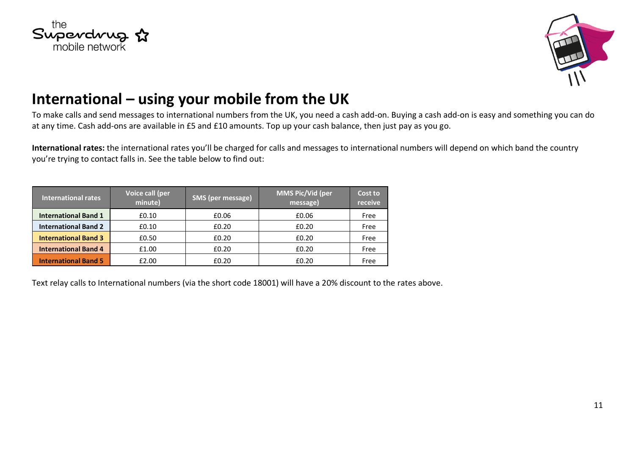



## **International – using your mobile from the UK**

To make calls and send messages to international numbers from the UK, you need a cash add-on. Buying a cash add-on is easy and something you can do at any time. Cash add-ons are available in £5 and £10 amounts. Top up your cash balance, then just pay as you go.

**International rates:** the international rates you'll be charged for calls and messages to international numbers will depend on which band the country you're trying to contact falls in. See the table below to find out:

| International rates         | Voice call (per<br>minute) | <b>SMS (per message)</b> | <b>MMS Pic/Vid (per</b><br>message) | Cost to<br>receive |
|-----------------------------|----------------------------|--------------------------|-------------------------------------|--------------------|
| <b>International Band 1</b> | £0.10                      | £0.06                    | £0.06                               | Free               |
| <b>International Band 2</b> | £0.10                      | £0.20                    | £0.20                               | Free               |
| <b>International Band 3</b> | £0.50                      | £0.20                    | £0.20                               | Free               |
| <b>International Band 4</b> | £1.00                      | £0.20                    | £0.20                               | Free               |
| <b>International Band 5</b> | £2.00                      | £0.20                    | £0.20                               | Free               |

Text relay calls to International numbers (via the short code 18001) will have a 20% discount to the rates above.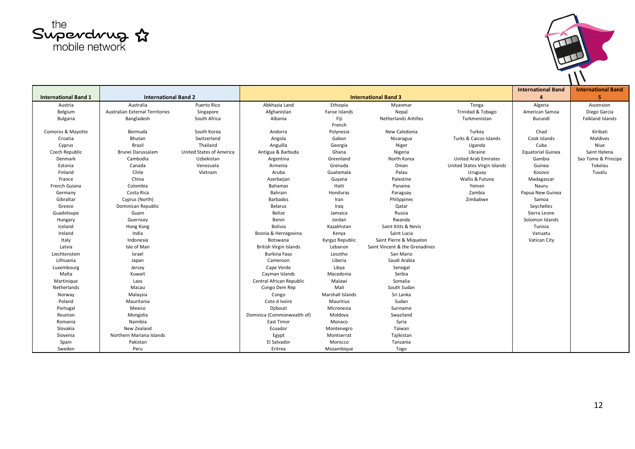



|                             |                                 |                          |                               |                             |                                |                              | <b>International Band</b> | <b>International Band</b> |
|-----------------------------|---------------------------------|--------------------------|-------------------------------|-----------------------------|--------------------------------|------------------------------|---------------------------|---------------------------|
| <b>International Band 1</b> | <b>International Band 2</b>     |                          |                               | <b>International Band 3</b> |                                |                              |                           | 5                         |
| Austria                     | Australia                       | Puerto Rico              | Abkhazia Land                 | Ethiopia                    | Myanmar                        | Tonga                        | Algeria                   | Ascension                 |
| Belgium                     | Australian External Territories | Singapore                | Afghanistan                   | Faroe Islands               | Nepal                          | Trinidad & Tobago            | American Samoa            | Diego Garcia              |
| Bulgaria                    | Bangladesh                      | South Africa             | Albania                       | Fiji<br>French              | <b>Netherlands Antilles</b>    | Turkmenistan                 | Burundi                   | <b>Falkland Islands</b>   |
| Comoros & Mayotte           | Bermuda                         | South Korea              | Andorra                       | Polynesia                   | New Caledonia                  | Turkey                       | Chad                      | Kiribati                  |
| Croatia                     | Bhutan                          | Switzerland              | Angola                        | Gabon                       | Nicaragua                      | Turks & Caicos Islands       | Cook Islands              | Maldives                  |
| Cyprus                      | Brazil                          | Thailand                 | Anguilla                      | Georgia                     | Niger                          | Uganda                       | Cuba                      | Niue                      |
| Czech Republic              | Brunei Darussalam               | United States of America | Antigua & Barbuda             | Ghana                       | Nigeria                        | Ukraine                      | <b>Equatorial Guinea</b>  | Saint Helena              |
| Denmark                     | Cambodia                        | Uzbekistan               | Argentina                     | Greenland                   | North Korea                    | United Arab Emirates         | Gambia                    | Sao Tome & Principe       |
| Estonia                     | Canada                          | Venezuela                | Armenia                       | Grenada                     | Oman                           | United States Virgin Islands | Guinea                    | Tokelau                   |
| Finland                     | Chile                           | Vietnam                  | Aruba                         | Guatemala                   | Palau                          | Uruguay                      | Kosovo                    | Tuvalu                    |
| France                      | China                           |                          | Azerbaijan                    | Guyana                      | Palestine                      | Wallis & Futuna              | Madagascar                |                           |
| French Guiana               | Colombia                        |                          | Bahamas                       | Haiti                       | Panama                         | Yemen                        | Nauru                     |                           |
| Germany                     | Costa Rica                      |                          | Bahrain                       | Honduras                    | Paraguay                       | Zambia                       | Papua New Guinea          |                           |
| Gibraltar                   | Cyprus (North)                  |                          | Barbados                      | Iran                        | Philippines                    | Zimbabwe                     | Samoa                     |                           |
| Greece                      | Dominican Republic              |                          | Belarus                       | Iraq                        | Qatar                          |                              | Seychelles                |                           |
| Guadeloupe                  | Guam                            |                          | Belize                        | Jamaica                     | Russia                         |                              | Sierra Leone              |                           |
| Hungary                     | Guernsey                        |                          | Benin                         | Jordan                      | Rwanda                         |                              | Solomon Islands           |                           |
| Iceland                     | Hong Kong                       |                          | <b>Bolivia</b>                | Kazakhstan                  | Saint Kitts & Nevis            |                              | Tunisia                   |                           |
| Ireland                     | India                           |                          | Bosnia & Herzegovina          | Kenya                       | Saint Lucia                    |                              | Vanuatu                   |                           |
| Italy                       | Indonesia                       |                          | Botswana                      | Kyrgyz Republic             | Saint Pierre & Miguelon        |                              | Vatican City              |                           |
| Latvia                      | Isle of Man                     |                          | <b>British Virgin Islands</b> | Lebanon                     | Saint Vincent & the Grenadines |                              |                           |                           |
| Liechtenstein               | Israel                          |                          | <b>Burkina Faso</b>           | Lesotho                     | San Mario                      |                              |                           |                           |
| Lithuania                   | Japan                           |                          | Cameroon                      | Liberia                     | Saudi Arabia                   |                              |                           |                           |
| Luxembourg                  | Jersey                          |                          | Cape Verde                    | Libya                       | Senegal                        |                              |                           |                           |
| Malta                       | Kuwait                          |                          | Cayman Islands                | Macedonia                   | Serbia                         |                              |                           |                           |
| Martinique                  | Laos                            |                          | Central African Republic      | Malawi                      | Somalia                        |                              |                           |                           |
| Netherlands                 | Macau                           |                          | Congo Dem Rep                 | Mali                        | South Sudan                    |                              |                           |                           |
| Norway                      | Malaysia                        |                          | Congo                         | Marshall Islands            | Sri Lanka                      |                              |                           |                           |
| Poland                      | Mauritania                      |                          | Cote d Ivoire                 | Mauritius                   | Sudan                          |                              |                           |                           |
| Portugal                    | Mexico                          |                          | Djibouti                      | Micronesia                  | Suriname                       |                              |                           |                           |
| Reunion                     | Mongolia                        |                          | Dominica (Commonwealth of)    | Moldova                     | Swaziland                      |                              |                           |                           |
| Romania                     | Namibia                         |                          | <b>East Timor</b>             | Monaco                      | Syria                          |                              |                           |                           |
| Slovakia                    | New Zealand                     |                          | Ecuador                       | Montenegro                  | Taiwan                         |                              |                           |                           |
| Slovenia                    | Northern Mariana Islands        |                          | Egypt                         | Montserrat                  | Tajikistan                     |                              |                           |                           |
| Spain                       | Pakistan                        |                          | El Salvador                   | Morocco                     | Tanzania                       |                              |                           |                           |
| Sweden                      | Peru                            |                          | Eritrea                       | Mozambique                  | Togo                           |                              |                           |                           |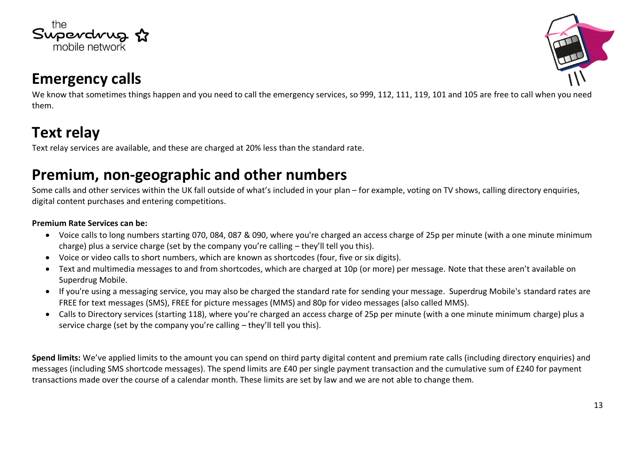



#### **Emergency calls**

We know that sometimes things happen and you need to call the emergency services, so 999, 112, 111, 119, 101 and 105 are free to call when you need them.

# **Text relay**

Text relay services are available, and these are charged at 20% less than the standard rate.

#### **Premium, non-geographic and other numbers**

Some calls and other services within the UK fall outside of what's included in your plan – for example, voting on TV shows, calling directory enquiries, digital content purchases and entering competitions.

#### **Premium Rate Services can be:**

- Voice calls to long numbers starting 070, 084, 087 & 090, where you're charged an access charge of 25p per minute (with a one minute minimum charge) plus a service charge (set by the company you're calling – they'll tell you this).
- Voice or video calls to short numbers, which are known as shortcodes (four, five or six digits).
- Text and multimedia messages to and from shortcodes, which are charged at 10p (or more) per message. Note that these aren't available on Superdrug Mobile.
- If you're using a messaging service, you may also be charged the standard rate for sending your message. Superdrug Mobile's standard rates are FREE for text messages (SMS), FREE for picture messages (MMS) and 80p for video messages (also called MMS).
- Calls to Directory services (starting 118), where you're charged an access charge of 25p per minute (with a one minute minimum charge) plus a service charge (set by the company you're calling – they'll tell you this).

**Spend limits:** We've applied limits to the amount you can spend on third party digital content and premium rate calls (including directory enquiries) and messages (including SMS shortcode messages). The spend limits are £40 per single payment transaction and the cumulative sum of £240 for payment transactions made over the course of a calendar month. These limits are set by law and we are not able to change them.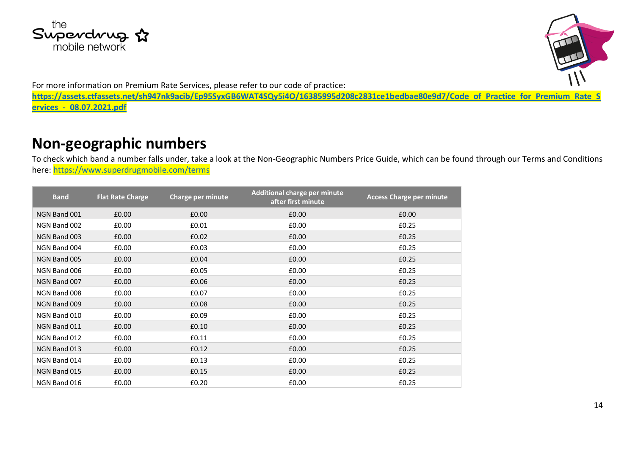



For more information on Premium Rate Services, please refer to our code of practice:

**[https://assets.ctfassets.net/sh947nk9acib/Ep95SyxGB6WAT4SQy5i4O/16385995d208c2831ce1bedbae80e9d7/Code\\_of\\_Practice\\_for\\_Premium\\_Rate\\_S](https://assets.ctfassets.net/sh947nk9acib/Ep95SyxGB6WAT4SQy5i4O/16385995d208c2831ce1bedbae80e9d7/Code_of_Practice_for_Premium_Rate_Services_-_08.07.2021.pdf) [ervices\\_-\\_08.07.2021.pdf](https://assets.ctfassets.net/sh947nk9acib/Ep95SyxGB6WAT4SQy5i4O/16385995d208c2831ce1bedbae80e9d7/Code_of_Practice_for_Premium_Rate_Services_-_08.07.2021.pdf)**

#### **Non-geographic numbers**

To check which band a number falls under, take a look at the Non-Geographic Numbers Price Guide, which can be found through our Terms and Conditions here:<https://www.superdrugmobile.com/terms>

| <b>Band</b>  | <b>Flat Rate Charge</b> | Charge per minute | Additional charge per minute<br>after first minute | <b>Access Charge per minute</b> |
|--------------|-------------------------|-------------------|----------------------------------------------------|---------------------------------|
| NGN Band 001 | £0.00                   | £0.00             | £0.00                                              | £0.00                           |
| NGN Band 002 | £0.00                   | £0.01             | £0.00                                              | £0.25                           |
| NGN Band 003 | £0.00                   | £0.02             | £0.00                                              | £0.25                           |
| NGN Band 004 | £0.00                   | £0.03             | £0.00                                              | £0.25                           |
| NGN Band 005 | £0.00                   | £0.04             | £0.00                                              | £0.25                           |
| NGN Band 006 | £0.00                   | £0.05             | £0.00                                              | £0.25                           |
| NGN Band 007 | £0.00                   | £0.06             | £0.00                                              | £0.25                           |
| NGN Band 008 | £0.00                   | £0.07             | £0.00                                              | £0.25                           |
| NGN Band 009 | £0.00                   | £0.08             | £0.00                                              | £0.25                           |
| NGN Band 010 | £0.00                   | £0.09             | £0.00                                              | £0.25                           |
| NGN Band 011 | £0.00                   | £0.10             | £0.00                                              | £0.25                           |
| NGN Band 012 | £0.00                   | £0.11             | £0.00                                              | £0.25                           |
| NGN Band 013 | £0.00                   | £0.12             | £0.00                                              | £0.25                           |
| NGN Band 014 | £0.00                   | £0.13             | £0.00                                              | £0.25                           |
| NGN Band 015 | £0.00                   | £0.15             | £0.00                                              | £0.25                           |
| NGN Band 016 | £0.00                   | £0.20             | £0.00                                              | £0.25                           |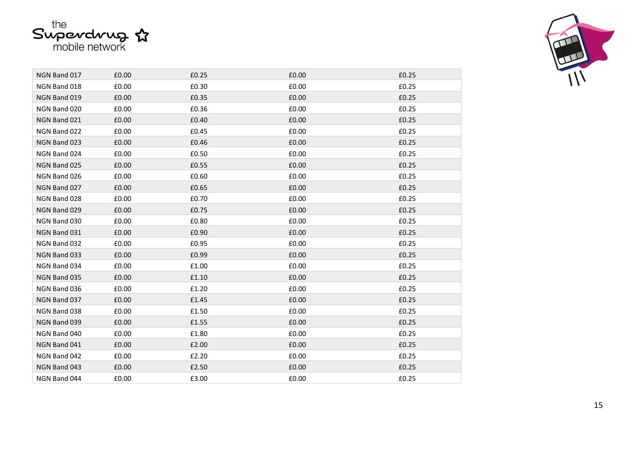

| NGN Band 017 | £0.00 | £0.25 | £0.00 | £0.25 |
|--------------|-------|-------|-------|-------|
| NGN Band 018 | £0.00 | £0.30 | £0.00 | £0.25 |
| NGN Band 019 | £0.00 | £0.35 | £0.00 | £0.25 |
| NGN Band 020 | £0.00 | £0.36 | £0.00 | £0.25 |
| NGN Band 021 | £0.00 | £0.40 | £0.00 | £0.25 |
| NGN Band 022 | £0.00 | £0.45 | £0.00 | £0.25 |
| NGN Band 023 | £0.00 | £0.46 | £0.00 | £0.25 |
| NGN Band 024 | £0.00 | £0.50 | £0.00 | £0.25 |
| NGN Band 025 | £0.00 | £0.55 | £0.00 | £0.25 |
| NGN Band 026 | £0.00 | £0.60 | £0.00 | £0.25 |
| NGN Band 027 | £0.00 | £0.65 | £0.00 | £0.25 |
| NGN Band 028 | £0.00 | £0.70 | £0.00 | £0.25 |
| NGN Band 029 | £0.00 | £0.75 | £0.00 | £0.25 |
| NGN Band 030 | £0.00 | £0.80 | £0.00 | £0.25 |
| NGN Band 031 | £0.00 | £0.90 | £0.00 | £0.25 |
| NGN Band 032 | £0.00 | £0.95 | £0.00 | £0.25 |
| NGN Band 033 | £0.00 | £0.99 | £0.00 | £0.25 |
| NGN Band 034 | £0.00 | £1.00 | £0.00 | £0.25 |
| NGN Band 035 | £0.00 | £1.10 | £0.00 | £0.25 |
| NGN Band 036 | £0.00 | £1.20 | £0.00 | £0.25 |
| NGN Band 037 | £0.00 | £1.45 | £0.00 | £0.25 |
| NGN Band 038 | £0.00 | £1.50 | £0.00 | £0.25 |
| NGN Band 039 | £0.00 | £1.55 | £0.00 | £0.25 |
| NGN Band 040 | £0.00 | £1.80 | £0.00 | £0.25 |
| NGN Band 041 | £0.00 | £2.00 | £0.00 | £0.25 |
| NGN Band 042 | £0.00 | £2.20 | £0.00 | £0.25 |
| NGN Band 043 | £0.00 | £2.50 | £0.00 | £0.25 |
| NGN Band 044 | £0.00 | £3.00 | £0.00 | £0.25 |
|              |       |       |       |       |

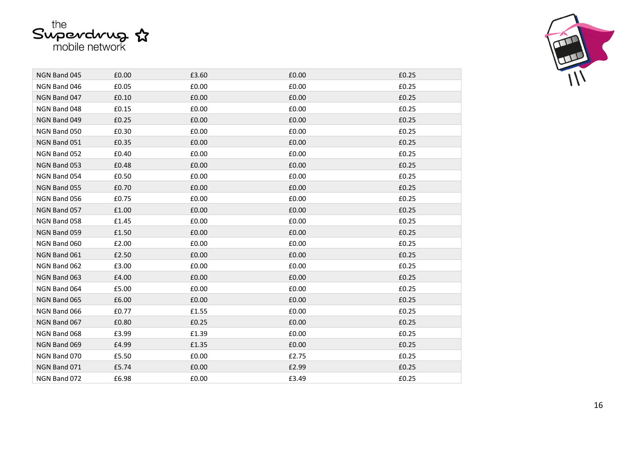

г



| NGN Band 045 | £0.00 | £3.60 | £0.00 | £0.25 |
|--------------|-------|-------|-------|-------|
| NGN Band 046 | £0.05 | £0.00 | £0.00 | £0.25 |
| NGN Band 047 | £0.10 | £0.00 | £0.00 | £0.25 |
| NGN Band 048 | £0.15 | £0.00 | £0.00 | £0.25 |
| NGN Band 049 | £0.25 | £0.00 | £0.00 | £0.25 |
| NGN Band 050 | £0.30 | £0.00 | £0.00 | £0.25 |
| NGN Band 051 | £0.35 | £0.00 | £0.00 | £0.25 |
| NGN Band 052 | £0.40 | £0.00 | £0.00 | £0.25 |
| NGN Band 053 | £0.48 | £0.00 | £0.00 | £0.25 |
| NGN Band 054 | £0.50 | £0.00 | £0.00 | £0.25 |
| NGN Band 055 | £0.70 | £0.00 | £0.00 | £0.25 |
| NGN Band 056 | £0.75 | £0.00 | £0.00 | £0.25 |
| NGN Band 057 | £1.00 | £0.00 | £0.00 | £0.25 |
| NGN Band 058 | £1.45 | £0.00 | £0.00 | £0.25 |
| NGN Band 059 | £1.50 | £0.00 | £0.00 | £0.25 |
| NGN Band 060 | £2.00 | £0.00 | £0.00 | £0.25 |
| NGN Band 061 | £2.50 | £0.00 | £0.00 | £0.25 |
| NGN Band 062 | £3.00 | £0.00 | £0.00 | £0.25 |
| NGN Band 063 | £4.00 | £0.00 | £0.00 | £0.25 |
| NGN Band 064 | £5.00 | £0.00 | £0.00 | £0.25 |
| NGN Band 065 | £6.00 | £0.00 | £0.00 | £0.25 |
| NGN Band 066 | £0.77 | £1.55 | £0.00 | £0.25 |
| NGN Band 067 | £0.80 | £0.25 | £0.00 | £0.25 |
| NGN Band 068 | £3.99 | £1.39 | £0.00 | £0.25 |
| NGN Band 069 | £4.99 | £1.35 | £0.00 | £0.25 |
| NGN Band 070 | £5.50 | £0.00 | £2.75 | £0.25 |
| NGN Band 071 | £5.74 | £0.00 | £2.99 | £0.25 |
| NGN Band 072 | £6.98 | £0.00 | £3.49 | £0.25 |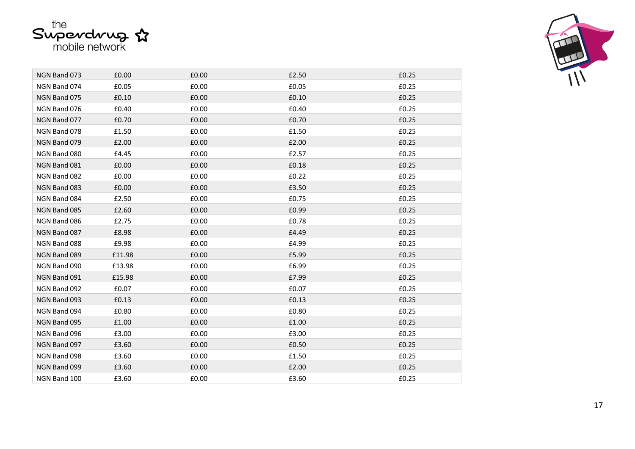



| NGN Band 073 | £0.00  | £0.00 | £2.50 | £0.25 |
|--------------|--------|-------|-------|-------|
| NGN Band 074 | £0.05  | £0.00 | £0.05 | £0.25 |
| NGN Band 075 | £0.10  | £0.00 | £0.10 | £0.25 |
| NGN Band 076 | £0.40  | £0.00 | £0.40 | £0.25 |
| NGN Band 077 | £0.70  | £0.00 | £0.70 | £0.25 |
| NGN Band 078 | £1.50  | £0.00 | £1.50 | £0.25 |
| NGN Band 079 | £2.00  | £0.00 | £2.00 | £0.25 |
| NGN Band 080 | £4.45  | £0.00 | £2.57 | £0.25 |
| NGN Band 081 | £0.00  | £0.00 | £0.18 | £0.25 |
| NGN Band 082 | £0.00  | £0.00 | £0.22 | £0.25 |
| NGN Band 083 | £0.00  | £0.00 | £3.50 | £0.25 |
| NGN Band 084 | £2.50  | £0.00 | £0.75 | £0.25 |
| NGN Band 085 | £2.60  | £0.00 | £0.99 | £0.25 |
| NGN Band 086 | £2.75  | £0.00 | £0.78 | £0.25 |
| NGN Band 087 | £8.98  | £0.00 | £4.49 | £0.25 |
| NGN Band 088 | £9.98  | £0.00 | £4.99 | £0.25 |
| NGN Band 089 | £11.98 | £0.00 | £5.99 | £0.25 |
| NGN Band 090 | £13.98 | £0.00 | £6.99 | £0.25 |
| NGN Band 091 | £15.98 | £0.00 | £7.99 | £0.25 |
| NGN Band 092 | £0.07  | £0.00 | £0.07 | £0.25 |
| NGN Band 093 | £0.13  | £0.00 | £0.13 | £0.25 |
| NGN Band 094 | £0.80  | £0.00 | £0.80 | £0.25 |
| NGN Band 095 | £1.00  | £0.00 | £1.00 | £0.25 |
| NGN Band 096 | £3.00  | £0.00 | £3.00 | £0.25 |
| NGN Band 097 | £3.60  | £0.00 | £0.50 | £0.25 |
| NGN Band 098 | £3.60  | £0.00 | £1.50 | £0.25 |
| NGN Band 099 | £3.60  | £0.00 | £2.00 | £0.25 |
| NGN Band 100 | £3.60  | £0.00 | £3.60 | £0.25 |